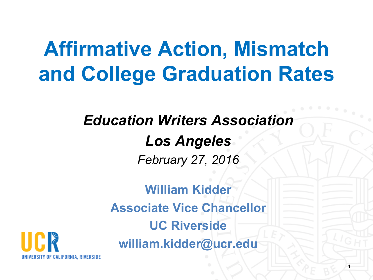# **Affirmative Action, Mismatch and College Graduation Rates**

#### *Education Writers Association Los Angeles February 27, 2016*

**William Kidder Associate Vice Chancellor UC Riverside william.kidder@ucr.edu**

1

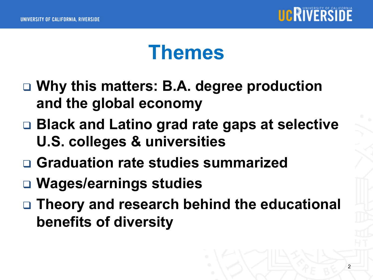

## **Themes**

- □ Why this matters: B.A. degree production **and the global economy**
- □ **Black and Latino grad rate gaps at selective U.S. colleges & universities**
- <sup>q</sup> **Graduation rate studies summarized**
- □ Wages/earnings studies
- □ Theory and research behind the educational **benefits of diversity**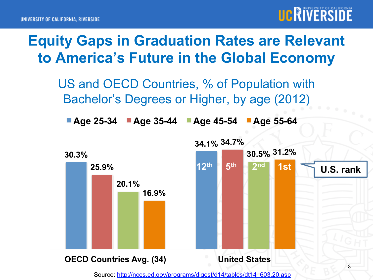



US and OECD Countries, % of Population with Bachelor's Degrees or Higher, by age (2012)

**Age 25-34 Age 35-44 Age 45-54 Age 55-64** 



Source: http://nces.ed.gov/programs/digest/d14/tables/dt14\_603.20.asp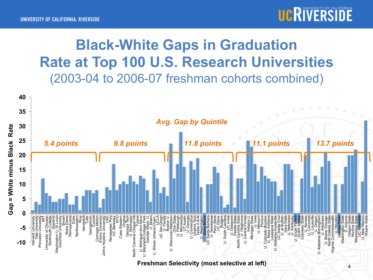

#### **Black-White Gaps in Graduation Rate at Top 100 U.S. Research Universities**  (2003-04 to 2006-07 freshman cohorts combined)

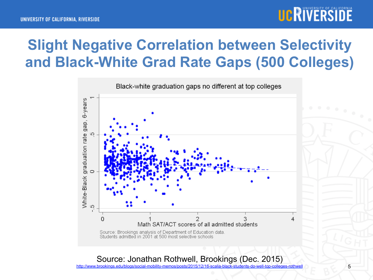

#### **Slight Negative Correlation between Selectivity and Black-White Grad Rate Gaps (500 Colleges)**



Source: Jonathan Rothwell, Brookings (Dec. 2015)

http://www.brookings.edu/blogs/social-mobility-memos/posts/2015/12/16-scalia-black-students-do-well-top-colleges-rothwell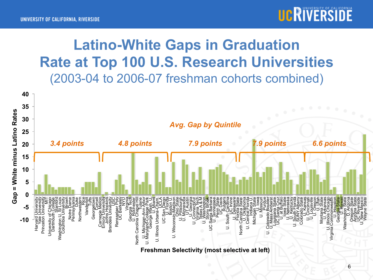

#### **Latino-White Gaps in Graduation Rate at Top 100 U.S. Research Universities**  (2003-04 to 2006-07 freshman cohorts combined)

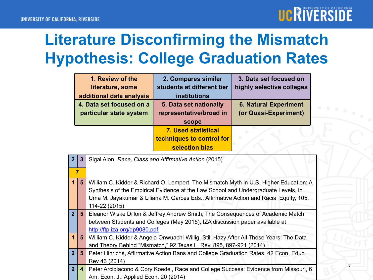

### **Literature Disconfirming the Mismatch Hypothesis: College Graduation Rates**

| 1. Review of the<br>literature, some<br>additional data analysis | 2. Compares similar<br>students at different tier<br>institutions         | 3. Data set focused on<br>highly selective colleges   |
|------------------------------------------------------------------|---------------------------------------------------------------------------|-------------------------------------------------------|
| 4. Data set focused on a<br>particular state system              | 5. Data set nationally<br>representative/broad in<br>scope                | <b>6. Natural Experiment</b><br>(or Quasi-Experiment) |
|                                                                  | <b>7. Used statistical</b><br>techniques to control for<br>selection bias |                                                       |

| $\overline{2}$ | $\mathbf{3}$   | Sigal Alon, Race, Class and Affirmative Action (2015)                                                                                                                                                                                                                                 |  |
|----------------|----------------|---------------------------------------------------------------------------------------------------------------------------------------------------------------------------------------------------------------------------------------------------------------------------------------|--|
|                |                |                                                                                                                                                                                                                                                                                       |  |
| 1.             | 5              | William C. Kidder & Richard O. Lempert, The Mismatch Myth in U.S. Higher Education: A<br>Synthesis of the Empirical Evidence at the Law School and Undergraduate Levels, in<br>Uma M. Jayakumar & Liliana M. Garces Eds., Affirmative Action and Racial Equity, 105,<br>114-22 (2015) |  |
| 2 <sup>1</sup> | $5^{\circ}$    | Eleanor Wiske Dillon & Jeffrey Andrew Smith, The Consequences of Academic Match<br>between Students and Colleges (May 2015), IZA discussion paper available at<br>http://ftp.iza.org/dp9080.pdf                                                                                       |  |
| $\mathbf 1$    | $5^{\circ}$    | William C. Kidder & Angela Onwuachi-Willig, Still Hazy After All These Years: The Data<br>and Theory Behind "Mismatch," 92 Texas L. Rev. 895, 897-921 (2014)                                                                                                                          |  |
| 2 <sup>1</sup> | $5^{\circ}$    | Peter Hinrichs, Affirmative Action Bans and College Graduation Rates, 42 Econ. Educ.<br>Rev 43 (2014)                                                                                                                                                                                 |  |
| 2 <sup>1</sup> | $\overline{4}$ | Peter Arcidiacono & Cory Koedel, Race and College Success: Evidence from Missouri, 6<br>Am. Econ. J.: Applied Econ. 20 (2014)                                                                                                                                                         |  |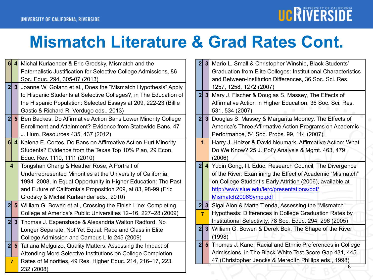# UCRIVERSIDE

#### **Mismatch Literature & Grad Rates Cont.**

| 6 <sup>1</sup> | $\vert$                                                                 | Michal Kurlaender & Eric Grodsky, Mismatch and the                              |  |
|----------------|-------------------------------------------------------------------------|---------------------------------------------------------------------------------|--|
|                |                                                                         | Paternalistic Justification for Selective College Admissions, 86                |  |
|                |                                                                         | Soc. Educ. 294, 305-07 (2013)                                                   |  |
| 2 <sup>1</sup> | 3                                                                       | Joanne W. Golann et al., Does the "Mismatch Hypothesis" Apply                   |  |
|                | to Hispanic Students at Selective Colleges?, in The Education of        |                                                                                 |  |
|                |                                                                         | the Hispanic Population: Selected Essays at 209, 222-23 (Billie)                |  |
|                |                                                                         | Gastic & Richard R. Verdugo eds., 2013)                                         |  |
| 2              |                                                                         | 5 <sub>l</sub><br>Ben Backes, Do Affirmative Action Bans Lower Minority College |  |
|                |                                                                         | Enrollment and Attainment? Evidence from Statewide Bans, 47                     |  |
|                |                                                                         | J. Hum. Resources 435, 437 (2012)                                               |  |
| 6 <sup>1</sup> | $\vert$                                                                 | Kalena E. Cortes, Do Bans on Affirmative Action Hurt Minority                   |  |
|                |                                                                         | Students? Evidence from the Texas Top 10% Plan, 29 Econ.                        |  |
|                |                                                                         | Educ. Rev. 1110, 1111 (2010)                                                    |  |
|                | $\overline{\mathbf{4}}$<br>Tongshan Chang & Heather Rose, A Portrait of |                                                                                 |  |
|                | Underrepresented Minorities at the University of California,            |                                                                                 |  |
|                |                                                                         | 1994-2008, in Equal Opportunity in Higher Education: The Past                   |  |
|                |                                                                         | and Future of California's Proposition 209, at 83, 98-99 (Eric                  |  |
|                |                                                                         | Grodsky & Michal Kurlaender eds., 2010)                                         |  |
| 2              |                                                                         | 5 William G. Bowen et al., Crossing the Finish Line: Completing                 |  |
|                |                                                                         | College at America's Public Universities 12-16, 227-28 (2009)                   |  |
| 2              | 3 <sup>1</sup>                                                          | Thomas J. Espenshade & Alexandria Walton Radford, No                            |  |
|                |                                                                         | Longer Separate, Not Yet Equal: Race and Class in Elite                         |  |
|                |                                                                         | College Admission and Campus Life 245 (2009)                                    |  |
| 2              | 5 <sub>l</sub>                                                          | Tatiana Melguizo, Quality Matters: Assessing the Impact of                      |  |
|                |                                                                         | Attending More Selective Institutions on College Completion                     |  |
| $\overline{7}$ |                                                                         | Rates of Minorities, 49 Res. Higher Educ. 214, 216-17, 223,                     |  |
|                |                                                                         | 232 (2008)                                                                      |  |

| 2 <sup>1</sup> | 3 <sup>1</sup> | Mario L. Small & Christopher Winship, Black Students'         |  |
|----------------|----------------|---------------------------------------------------------------|--|
|                |                | Graduation from Elite Colleges: Institutional Characteristics |  |
|                |                | and Between-Institution Differences, 36 Soc. Sci. Res.        |  |
|                |                | 1257, 1258, 1272 (2007)                                       |  |
| 2 <sup>1</sup> | 3 <sup>1</sup> | Mary J. Fischer & Douglas S. Massey, The Effects of           |  |
|                |                | Affirmative Action in Higher Education, 36 Soc. Sci. Res.     |  |
|                |                | 531, 534 (2007)                                               |  |
| 2 <sup>1</sup> | 3 <sup>1</sup> | Douglas S. Massey & Margarita Mooney, The Effects of          |  |
|                |                | America's Three Affirmative Action Programs on Academic       |  |
|                |                | Performance, 54 Soc. Probs. 99, 114 (2007)                    |  |
|                | 1              | Harry J. Holzer & David Neumark, Affirmative Action: What     |  |
|                |                | Do We Know? 25 J. Pol'y Analysis & Mgmt. 463, 479             |  |
|                |                | (2006)                                                        |  |
| 2 <sup>1</sup> | $\vert$        | Yuqin Gong, III. Educ. Research Council, The Divergence       |  |
|                |                | of the River: Examining the Effect of Academic "Mismatch"     |  |
|                |                | on College Student's Early Attrition (2006), available at     |  |
|                |                | http://www.siue.edu/ierc/presentations/pdf/                   |  |
|                |                | Mismatch2006Symp.pdf                                          |  |
| 2              | 3 <sup>1</sup> | Sigal Alon & Marta Tienda, Assessing the "Mismatch"           |  |
|                | 7              | Hypothesis: Differences in College Graduation Rates by        |  |
|                |                | Institutional Selectivity, 78 Soc. Educ. 294, 296 (2005)      |  |
| 2 <sub>l</sub> | 3 <sup>1</sup> | William G. Bowen & Derek Bok, The Shape of the River          |  |
|                |                | (1998)                                                        |  |
| 2 <sub>l</sub> | 5 <sub>l</sub> | Thomas J. Kane, Racial and Ethnic Preferences in College      |  |
|                |                | Admissions, in The Black-White Test Score Gap 431, 445-       |  |
|                |                | 47 (Christopher Jencks & Meredith Phillips eds., 1998)        |  |
|                |                | 8                                                             |  |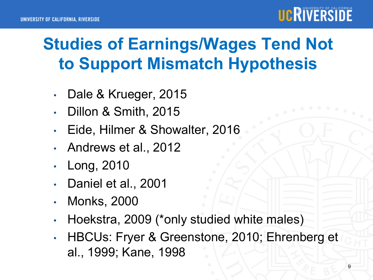

## **Studies of Earnings/Wages Tend Not to Support Mismatch Hypothesis**

- Dale & Krueger, 2015
- Dillon & Smith, 2015
- Eide, Hilmer & Showalter, 2016
- Andrews et al., 2012
- Long, 2010
- Daniel et al., 2001
- Monks, 2000
- Hoekstra, 2009 (\*only studied white males)
- HBCUs: Fryer & Greenstone, 2010; Ehrenberg et al., 1999; Kane, 1998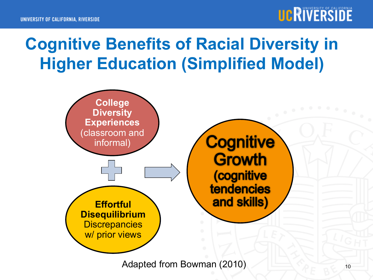## **Cognitive Benefits of Racial Diversity in Higher Education (Simplified Model)**



Adapted from Bowman (2010)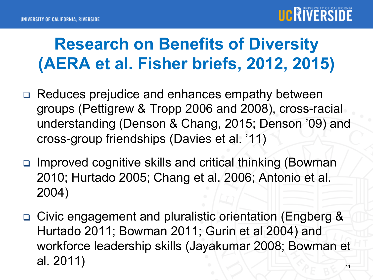

## **Research on Benefits of Diversity (AERA et al. Fisher briefs, 2012, 2015)**

- □ Reduces prejudice and enhances empathy between groups (Pettigrew & Tropp 2006 and 2008), cross-racial understanding (Denson & Chang, 2015; Denson '09) and cross-group friendships (Davies et al. '11)
- <sup>q</sup> Improved cognitive skills and critical thinking (Bowman 2010; Hurtado 2005; Chang et al. 2006; Antonio et al. 2004)
- □ Civic engagement and pluralistic orientation (Engberg & Hurtado 2011; Bowman 2011; Gurin et al 2004) and workforce leadership skills (Jayakumar 2008; Bowman et al. 2011) and  $\mathbb{I}$  al. 2011)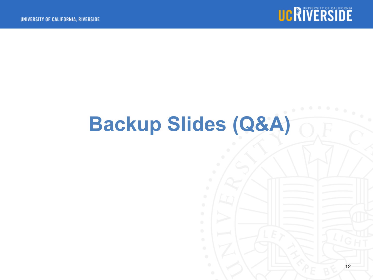

# **Backup Slides (Q&A)**